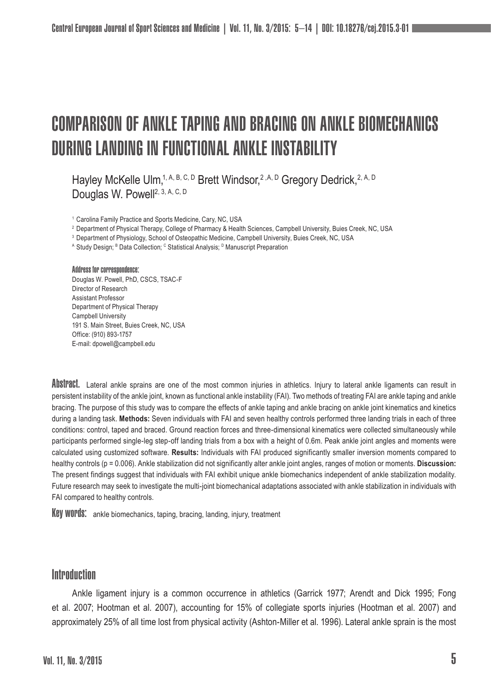# COMPARISON OF ANKLE TAPING AND BRACING ON ANKLE BIOMECHANICS DURING LANDING IN FUNCTIONAL ANKLE INSTABILITY

Hayley McKelle Ulm,<sup>1, A, B, C, D</sup> Brett Windsor,<sup>2, A, D</sup> Gregory Dedrick, <sup>2, A, D</sup> Douglas W. Powell<sup>2, 3, A, C, D</sup>

<sup>1</sup> Carolina Family Practice and Sports Medicine, Cary, NC, USA

<sup>2</sup> Department of Physical Therapy, College of Pharmacy & Health Sciences, Campbell University, Buies Creek, NC, USA

<sup>3</sup> Department of Physiology, School of Osteopathic Medicine, Campbell University, Buies Creek, NC, USA

A Study Design; <sup>в</sup> Data Collection; <sup>с</sup> Statistical Analysis; <sup>в</sup> Manuscript Preparation

#### Address for correspondence:

Douglas W. Powell, PhD, CSCS, TSAC-F Director of Research Assistant Professor Department of Physical Therapy Campbell University 191 S. Main Street, Buies Creek, NC, USA Office: (910) 893-1757 E-mail: dpowell@campbell.edu

Abstract. Lateral ankle sprains are one of the most common injuries in athletics. Injury to lateral ankle ligaments can result in persistent instability of the ankle joint, known as functional ankle instability (FAI). Two methods of treating FAI are ankle taping and ankle bracing. The purpose of this study was to compare the effects of ankle taping and ankle bracing on ankle joint kinematics and kinetics during a landing task. **Methods:** Seven individuals with FAI and seven healthy controls performed three landing trials in each of three conditions: control, taped and braced. Ground reaction forces and three-dimensional kinematics were collected simultaneously while participants performed single-leg step-off landing trials from a box with a height of 0.6m. Peak ankle joint angles and moments were calculated using customized software. **Results:** Individuals with FAI produced significantly smaller inversion moments compared to healthy controls (p = 0.006). Ankle stabilization did not significantly alter ankle joint angles, ranges of motion or moments. **Discussion:** The present findings suggest that individuals with FAI exhibit unique ankle biomechanics independent of ankle stabilization modality. Future research may seek to investigate the multi-joint biomechanical adaptations associated with ankle stabilization in individuals with FAI compared to healthy controls.

Key words: ankle biomechanics, taping, bracing, landing, injury, treatment

### **Introduction**

Ankle ligament injury is a common occurrence in athletics (Garrick 1977; Arendt and Dick 1995; Fong et al. 2007; Hootman et al. 2007), accounting for 15% of collegiate sports injuries (Hootman et al. 2007) and approximately 25% of all time lost from physical activity (Ashton-Miller et al. 1996). Lateral ankle sprain is the most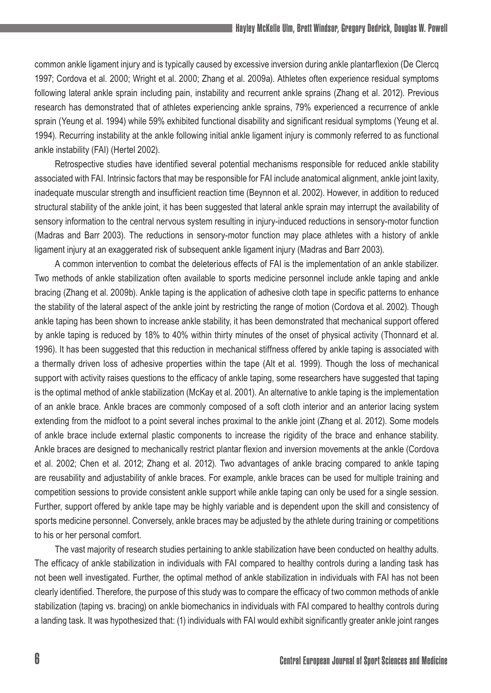common ankle ligament injury and is typically caused by excessive inversion during ankle plantarflexion (De Clercq 1997; Cordova et al. 2000; Wright et al. 2000; Zhang et al. 2009a). Athletes often experience residual symptoms following lateral ankle sprain including pain, instability and recurrent ankle sprains (Zhang et al. 2012). Previous research has demonstrated that of athletes experiencing ankle sprains, 79% experienced a recurrence of ankle sprain (Yeung et al. 1994) while 59% exhibited functional disability and significant residual symptoms (Yeung et al. 1994). Recurring instability at the ankle following initial ankle ligament injury is commonly referred to as functional ankle instability (FAI) (Hertel 2002).

Retrospective studies have identified several potential mechanisms responsible for reduced ankle stability associated with FAI. Intrinsic factors that may be responsible for FAI include anatomical alignment, ankle joint laxity, inadequate muscular strength and insufficient reaction time (Beynnon et al. 2002). However, in addition to reduced structural stability of the ankle joint, it has been suggested that lateral ankle sprain may interrupt the availability of sensory information to the central nervous system resulting in injury-induced reductions in sensory-motor function (Madras and Barr 2003). The reductions in sensory-motor function may place athletes with a history of ankle ligament injury at an exaggerated risk of subsequent ankle ligament injury (Madras and Barr 2003).

A common intervention to combat the deleterious effects of FAI is the implementation of an ankle stabilizer. Two methods of ankle stabilization often available to sports medicine personnel include ankle taping and ankle bracing (Zhang et al. 2009b). Ankle taping is the application of adhesive cloth tape in specific patterns to enhance the stability of the lateral aspect of the ankle joint by restricting the range of motion (Cordova et al. 2002). Though ankle taping has been shown to increase ankle stability, it has been demonstrated that mechanical support offered by ankle taping is reduced by 18% to 40% within thirty minutes of the onset of physical activity (Thonnard et al. 1996). It has been suggested that this reduction in mechanical stiffness offered by ankle taping is associated with a thermally driven loss of adhesive properties within the tape (Alt et al. 1999). Though the loss of mechanical support with activity raises questions to the efficacy of ankle taping, some researchers have suggested that taping is the optimal method of ankle stabilization (McKay et al. 2001). An alternative to ankle taping is the implementation of an ankle brace. Ankle braces are commonly composed of a soft cloth interior and an anterior lacing system extending from the midfoot to a point several inches proximal to the ankle joint (Zhang et al. 2012). Some models of ankle brace include external plastic components to increase the rigidity of the brace and enhance stability. Ankle braces are designed to mechanically restrict plantar flexion and inversion movements at the ankle (Cordova et al. 2002; Chen et al. 2012; Zhang et al. 2012). Two advantages of ankle bracing compared to ankle taping are reusability and adjustability of ankle braces. For example, ankle braces can be used for multiple training and competition sessions to provide consistent ankle support while ankle taping can only be used for a single session. Further, support offered by ankle tape may be highly variable and is dependent upon the skill and consistency of sports medicine personnel. Conversely, ankle braces may be adjusted by the athlete during training or competitions to his or her personal comfort.

The vast majority of research studies pertaining to ankle stabilization have been conducted on healthy adults. The efficacy of ankle stabilization in individuals with FAI compared to healthy controls during a landing task has not been well investigated. Further, the optimal method of ankle stabilization in individuals with FAI has not been clearly identified. Therefore, the purpose of this study was to compare the efficacy of two common methods of ankle stabilization (taping vs. bracing) on ankle biomechanics in individuals with FAI compared to healthy controls during a landing task. It was hypothesized that: (1) individuals with FAI would exhibit significantly greater ankle joint ranges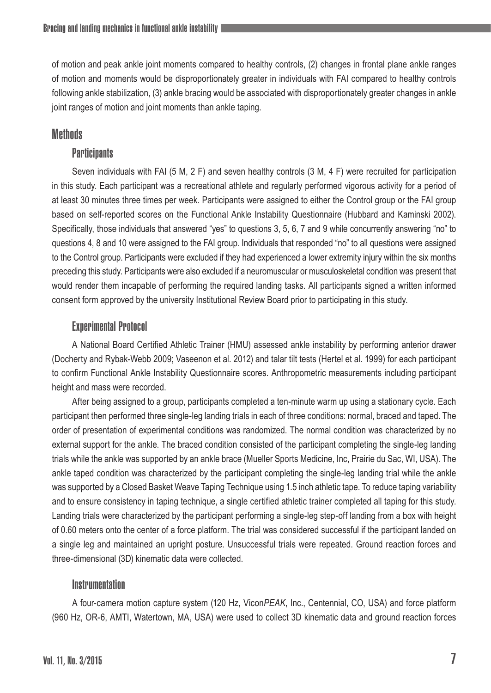of motion and peak ankle joint moments compared to healthy controls, (2) changes in frontal plane ankle ranges of motion and moments would be disproportionately greater in individuals with FAI compared to healthy controls following ankle stabilization, (3) ankle bracing would be associated with disproportionately greater changes in ankle joint ranges of motion and joint moments than ankle taping.

# **Methods**

# **Participants**

Seven individuals with FAI (5 M, 2 F) and seven healthy controls (3 M, 4 F) were recruited for participation in this study. Each participant was a recreational athlete and regularly performed vigorous activity for a period of at least 30 minutes three times per week. Participants were assigned to either the Control group or the FAI group based on self-reported scores on the Functional Ankle Instability Questionnaire (Hubbard and Kaminski 2002). Specifically, those individuals that answered "yes" to questions 3, 5, 6, 7 and 9 while concurrently answering "no" to questions 4, 8 and 10 were assigned to the FAI group. Individuals that responded "no" to all questions were assigned to the Control group. Participants were excluded if they had experienced a lower extremity injury within the six months preceding this study. Participants were also excluded if a neuromuscular or musculoskeletal condition was present that would render them incapable of performing the required landing tasks. All participants signed a written informed consent form approved by the university Institutional Review Board prior to participating in this study.

# Experimental Protocol

A National Board Certified Athletic Trainer (HMU) assessed ankle instability by performing anterior drawer (Docherty and Rybak-Webb 2009; Vaseenon et al. 2012) and talar tilt tests (Hertel et al. 1999) for each participant to confirm Functional Ankle Instability Questionnaire scores. Anthropometric measurements including participant height and mass were recorded.

After being assigned to a group, participants completed a ten-minute warm up using a stationary cycle. Each participant then performed three single-leg landing trials in each of three conditions: normal, braced and taped. The order of presentation of experimental conditions was randomized. The normal condition was characterized by no external support for the ankle. The braced condition consisted of the participant completing the single-leg landing trials while the ankle was supported by an ankle brace (Mueller Sports Medicine, Inc, Prairie du Sac, WI, USA). The ankle taped condition was characterized by the participant completing the single-leg landing trial while the ankle was supported by a Closed Basket Weave Taping Technique using 1.5 inch athletic tape. To reduce taping variability and to ensure consistency in taping technique, a single certified athletic trainer completed all taping for this study. Landing trials were characterized by the participant performing a single-leg step-off landing from a box with height of 0.60 meters onto the center of a force platform. The trial was considered successful if the participant landed on a single leg and maintained an upright posture. Unsuccessful trials were repeated. Ground reaction forces and three-dimensional (3D) kinematic data were collected.

# Instrumentation

A four-camera motion capture system (120 Hz, Vicon*PEAK*, Inc., Centennial, CO, USA) and force platform (960 Hz, OR-6, AMTI, Watertown, MA, USA) were used to collect 3D kinematic data and ground reaction forces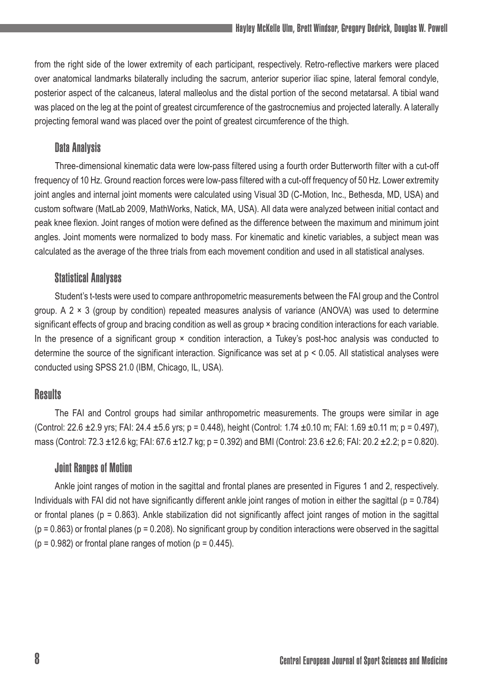from the right side of the lower extremity of each participant, respectively. Retro-reflective markers were placed over anatomical landmarks bilaterally including the sacrum, anterior superior iliac spine, lateral femoral condyle, posterior aspect of the calcaneus, lateral malleolus and the distal portion of the second metatarsal. A tibial wand was placed on the leg at the point of greatest circumference of the gastrocnemius and projected laterally. A laterally projecting femoral wand was placed over the point of greatest circumference of the thigh.

# Data Analysis

Three-dimensional kinematic data were low-pass filtered using a fourth order Butterworth filter with a cut-off frequency of 10 Hz. Ground reaction forces were low-pass filtered with a cut-off frequency of 50 Hz. Lower extremity joint angles and internal joint moments were calculated using Visual 3D (C-Motion, Inc., Bethesda, MD, USA) and custom software (MatLab 2009, MathWorks, Natick, MA, USA). All data were analyzed between initial contact and peak knee flexion. Joint ranges of motion were defined as the difference between the maximum and minimum joint angles. Joint moments were normalized to body mass. For kinematic and kinetic variables, a subject mean was calculated as the average of the three trials from each movement condition and used in all statistical analyses.

### Statistical Analyses

Student's t-tests were used to compare anthropometric measurements between the FAI group and the Control group. A  $2 \times 3$  (group by condition) repeated measures analysis of variance (ANOVA) was used to determine significant effects of group and bracing condition as well as group × bracing condition interactions for each variable. In the presence of a significant group  $\times$  condition interaction, a Tukey's post-hoc analysis was conducted to determine the source of the significant interaction. Significance was set at p < 0.05. All statistical analyses were conducted using SPSS 21.0 (IBM, Chicago, IL, USA).

# **Results**

The FAI and Control groups had similar anthropometric measurements. The groups were similar in age (Control: 22.6  $\pm$ 2.9 yrs; FAI: 24.4  $\pm$ 5.6 yrs; p = 0.448), height (Control: 1.74  $\pm$ 0.10 m; FAI: 1.69  $\pm$ 0.11 m; p = 0.497), mass (Control: 72.3  $\pm$ 12.6 kg; FAI: 67.6  $\pm$ 12.7 kg; p = 0.392) and BMI (Control: 23.6  $\pm$ 2.6; FAI: 20.2  $\pm$ 2.2; p = 0.820).

### Joint Ranges of Motion

Ankle joint ranges of motion in the sagittal and frontal planes are presented in Figures 1 and 2, respectively. Individuals with FAI did not have significantly different ankle joint ranges of motion in either the sagittal ( $p = 0.784$ ) or frontal planes ( $p = 0.863$ ). Ankle stabilization did not significantly affect joint ranges of motion in the sagittal  $(p = 0.863)$  or frontal planes  $(p = 0.208)$ . No significant group by condition interactions were observed in the sagittal  $(p = 0.982)$  or frontal plane ranges of motion  $(p = 0.445)$ .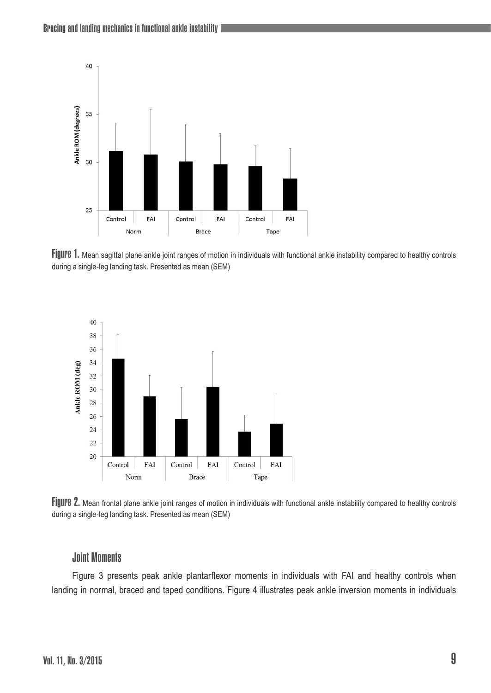

Figure 1. Mean sagittal plane ankle joint ranges of motion in individuals with functional ankle instability compared to healthy controls during a single-leg landing task. Presented as mean (SEM)



Figure 2. Mean frontal plane ankle joint ranges of motion in individuals with functional ankle instability compared to healthy controls during a single-leg landing task. Presented as mean (SEM)

#### Joint Moments

Figure 3 presents peak ankle plantarflexor moments in individuals with FAI and healthy controls when landing in normal, braced and taped conditions. Figure 4 illustrates peak ankle inversion moments in individuals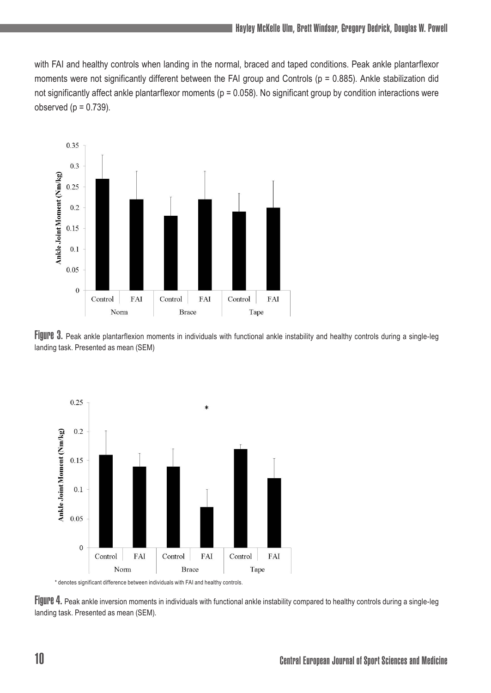with FAI and healthy controls when landing in the normal, braced and taped conditions. Peak ankle plantarflexor moments were not significantly different between the FAI group and Controls (p = 0.885). Ankle stabilization did not significantly affect ankle plantarflexor moments ( $p = 0.058$ ). No significant group by condition interactions were observed  $(p = 0.739)$ .



Figure 3. Peak ankle plantarflexion moments in individuals with functional ankle instability and healthy controls during a single-leg landing task. Presented as mean (SEM)



\* denotes significant difference between individuals with FAI and healthy controls.

Figure 4. Peak ankle inversion moments in individuals with functional ankle instability compared to healthy controls during a single-leg landing task. Presented as mean (SEM).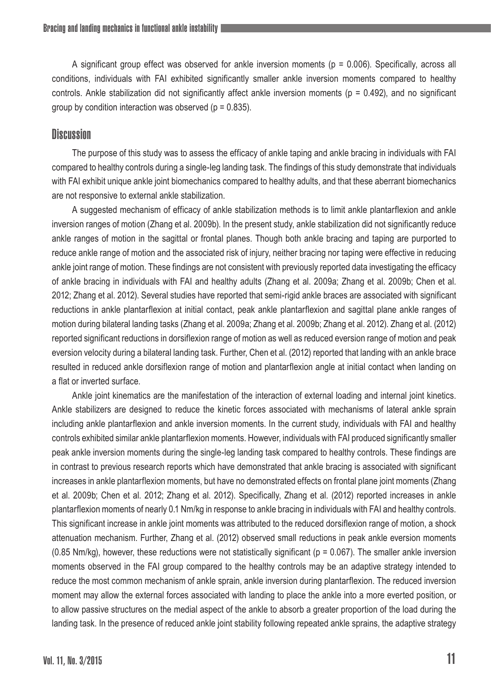A significant group effect was observed for ankle inversion moments ( $p = 0.006$ ). Specifically, across all conditions, individuals with FAI exhibited significantly smaller ankle inversion moments compared to healthy controls. Ankle stabilization did not significantly affect ankle inversion moments (p = 0.492), and no significant group by condition interaction was observed ( $p = 0.835$ ).

#### **Discussion**

The purpose of this study was to assess the efficacy of ankle taping and ankle bracing in individuals with FAI compared to healthy controls during a single-leg landing task. The findings of this study demonstrate that individuals with FAI exhibit unique ankle joint biomechanics compared to healthy adults, and that these aberrant biomechanics are not responsive to external ankle stabilization.

A suggested mechanism of efficacy of ankle stabilization methods is to limit ankle plantarflexion and ankle inversion ranges of motion (Zhang et al. 2009b). In the present study, ankle stabilization did not significantly reduce ankle ranges of motion in the sagittal or frontal planes. Though both ankle bracing and taping are purported to reduce ankle range of motion and the associated risk of injury, neither bracing nor taping were effective in reducing ankle joint range of motion. These findings are not consistent with previously reported data investigating the efficacy of ankle bracing in individuals with FAI and healthy adults (Zhang et al. 2009a; Zhang et al. 2009b; Chen et al. 2012; Zhang et al. 2012). Several studies have reported that semi-rigid ankle braces are associated with significant reductions in ankle plantarflexion at initial contact, peak ankle plantarflexion and sagittal plane ankle ranges of motion during bilateral landing tasks (Zhang et al. 2009a; Zhang et al. 2009b; Zhang et al. 2012). Zhang et al. (2012) reported significant reductions in dorsiflexion range of motion as well as reduced eversion range of motion and peak eversion velocity during a bilateral landing task. Further, Chen et al. (2012) reported that landing with an ankle brace resulted in reduced ankle dorsiflexion range of motion and plantarflexion angle at initial contact when landing on a flat or inverted surface.

Ankle joint kinematics are the manifestation of the interaction of external loading and internal joint kinetics. Ankle stabilizers are designed to reduce the kinetic forces associated with mechanisms of lateral ankle sprain including ankle plantarflexion and ankle inversion moments. In the current study, individuals with FAI and healthy controls exhibited similar ankle plantarflexion moments. However, individuals with FAI produced significantly smaller peak ankle inversion moments during the single-leg landing task compared to healthy controls. These findings are in contrast to previous research reports which have demonstrated that ankle bracing is associated with significant increases in ankle plantarflexion moments, but have no demonstrated effects on frontal plane joint moments (Zhang et al. 2009b; Chen et al. 2012; Zhang et al. 2012). Specifically, Zhang et al. (2012) reported increases in ankle plantarflexion moments of nearly 0.1 Nm/kg in response to ankle bracing in individuals with FAI and healthy controls. This significant increase in ankle joint moments was attributed to the reduced dorsiflexion range of motion, a shock attenuation mechanism. Further, Zhang et al. (2012) observed small reductions in peak ankle eversion moments (0.85 Nm/kg), however, these reductions were not statistically significant ( $p = 0.067$ ). The smaller ankle inversion moments observed in the FAI group compared to the healthy controls may be an adaptive strategy intended to reduce the most common mechanism of ankle sprain, ankle inversion during plantarflexion. The reduced inversion moment may allow the external forces associated with landing to place the ankle into a more everted position, or to allow passive structures on the medial aspect of the ankle to absorb a greater proportion of the load during the landing task. In the presence of reduced ankle joint stability following repeated ankle sprains, the adaptive strategy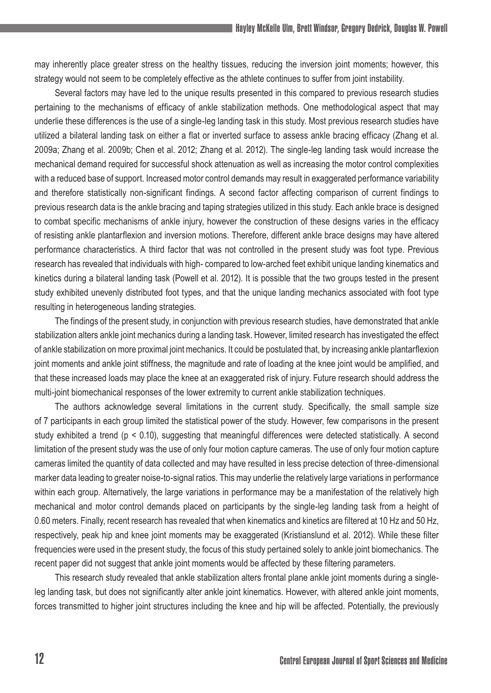may inherently place greater stress on the healthy tissues, reducing the inversion joint moments; however, this strategy would not seem to be completely effective as the athlete continues to suffer from joint instability.

Several factors may have led to the unique results presented in this compared to previous research studies pertaining to the mechanisms of efficacy of ankle stabilization methods. One methodological aspect that may underlie these differences is the use of a single-leg landing task in this study. Most previous research studies have utilized a bilateral landing task on either a flat or inverted surface to assess ankle bracing efficacy (Zhang et al. 2009a; Zhang et al. 2009b; Chen et al. 2012; Zhang et al. 2012). The single-leg landing task would increase the mechanical demand required for successful shock attenuation as well as increasing the motor control complexities with a reduced base of support. Increased motor control demands may result in exaggerated performance variability and therefore statistically non-significant findings. A second factor affecting comparison of current findings to previous research data is the ankle bracing and taping strategies utilized in this study. Each ankle brace is designed to combat specific mechanisms of ankle injury, however the construction of these designs varies in the efficacy of resisting ankle plantarflexion and inversion motions. Therefore, different ankle brace designs may have altered performance characteristics. A third factor that was not controlled in the present study was foot type. Previous research has revealed that individuals with high- compared to low-arched feet exhibit unique landing kinematics and kinetics during a bilateral landing task (Powell et al. 2012). It is possible that the two groups tested in the present study exhibited unevenly distributed foot types, and that the unique landing mechanics associated with foot type resulting in heterogeneous landing strategies.

The findings of the present study, in conjunction with previous research studies, have demonstrated that ankle stabilization alters ankle joint mechanics during a landing task. However, limited research has investigated the effect of ankle stabilization on more proximal joint mechanics. It could be postulated that, by increasing ankle plantarflexion joint moments and ankle joint stiffness, the magnitude and rate of loading at the knee joint would be amplified, and that these increased loads may place the knee at an exaggerated risk of injury. Future research should address the multi-joint biomechanical responses of the lower extremity to current ankle stabilization techniques.

The authors acknowledge several limitations in the current study. Specifically, the small sample size of 7 participants in each group limited the statistical power of the study. However, few comparisons in the present study exhibited a trend (p < 0.10), suggesting that meaningful differences were detected statistically. A second limitation of the present study was the use of only four motion capture cameras. The use of only four motion capture cameras limited the quantity of data collected and may have resulted in less precise detection of three-dimensional marker data leading to greater noise-to-signal ratios. This may underlie the relatively large variations in performance within each group. Alternatively, the large variations in performance may be a manifestation of the relatively high mechanical and motor control demands placed on participants by the single-leg landing task from a height of 0.60 meters. Finally, recent research has revealed that when kinematics and kinetics are filtered at 10 Hz and 50 Hz, respectively, peak hip and knee joint moments may be exaggerated (Kristianslund et al. 2012). While these filter frequencies were used in the present study, the focus of this study pertained solely to ankle joint biomechanics. The recent paper did not suggest that ankle joint moments would be affected by these filtering parameters.

This research study revealed that ankle stabilization alters frontal plane ankle joint moments during a singleleg landing task, but does not significantly alter ankle joint kinematics. However, with altered ankle joint moments, forces transmitted to higher joint structures including the knee and hip will be affected. Potentially, the previously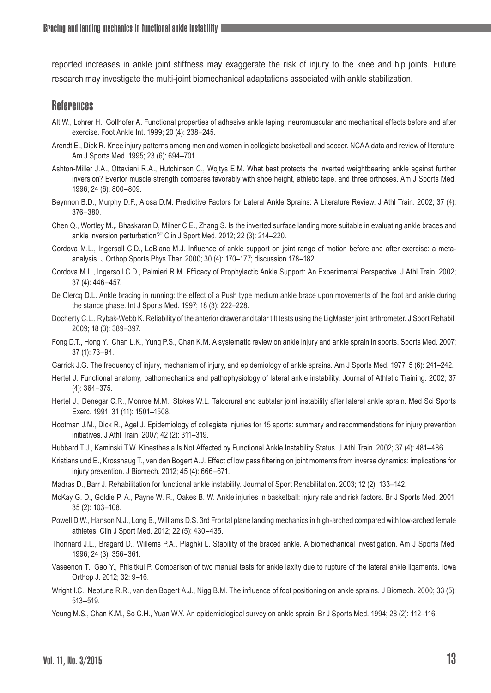reported increases in ankle joint stiffness may exaggerate the risk of injury to the knee and hip joints. Future research may investigate the multi-joint biomechanical adaptations associated with ankle stabilization.

#### **References**

- Alt W., Lohrer H., Gollhofer A. Functional properties of adhesive ankle taping: neuromuscular and mechanical effects before and after exercise. Foot Ankle Int. 1999; 20 (4): 238–245.
- Arendt E., Dick R. Knee injury patterns among men and women in collegiate basketball and soccer. NCAA data and review of literature. Am J Sports Med. 1995; 23 (6): 694–701.
- Ashton-Miller J.A., Ottaviani R.A., Hutchinson C., Wojtys E.M. What best protects the inverted weightbearing ankle against further inversion? Evertor muscle strength compares favorably with shoe height, athletic tape, and three orthoses. Am J Sports Med. 1996; 24 (6): 800–809.
- Beynnon B.D., Murphy D.F., Alosa D.M. Predictive Factors for Lateral Ankle Sprains: A Literature Review. J Athl Train. 2002; 37 (4): 376–380.
- Chen Q., Wortley M.,. Bhaskaran D, Milner C.E., Zhang S. Is the inverted surface landing more suitable in evaluating ankle braces and ankle inversion perturbation?" Clin J Sport Med. 2012; 22 (3): 214–220.
- Cordova M.L., Ingersoll C.D., LeBlanc M.J. Influence of ankle support on joint range of motion before and after exercise: a metaanalysis. J Orthop Sports Phys Ther. 2000; 30 (4): 170–177; discussion 178–182.
- Cordova M.L., Ingersoll C.D., Palmieri R.M. Efficacy of Prophylactic Ankle Support: An Experimental Perspective. J Athl Train. 2002; 37 (4): 446–457.
- De Clercq D.L. Ankle bracing in running: the effect of a Push type medium ankle brace upon movements of the foot and ankle during the stance phase. Int J Sports Med. 1997; 18 (3): 222–228.
- Docherty C.L., Rybak-Webb K. Reliability of the anterior drawer and talar tilt tests using the LigMaster joint arthrometer. J Sport Rehabil. 2009; 18 (3): 389–397.
- Fong D.T., Hong Y., Chan L.K., Yung P.S., Chan K.M. A systematic review on ankle injury and ankle sprain in sports. Sports Med. 2007; 37 (1): 73–94.
- Garrick J.G. The frequency of injury, mechanism of injury, and epidemiology of ankle sprains. Am J Sports Med. 1977; 5 (6): 241–242.
- Hertel J. Functional anatomy, pathomechanics and pathophysiology of lateral ankle instability. Journal of Athletic Training. 2002; 37 (4): 364–375.
- Hertel J., Denegar C.R., Monroe M.M., Stokes W.L. Talocrural and subtalar joint instability after lateral ankle sprain. Med Sci Sports Exerc. 1991; 31 (11): 1501–1508.
- Hootman J.M., Dick R., Agel J. Epidemiology of collegiate injuries for 15 sports: summary and recommendations for injury prevention initiatives. J Athl Train. 2007; 42 (2): 311–319.
- Hubbard T.J., Kaminski T.W. Kinesthesia Is Not Affected by Functional Ankle Instability Status. J Athl Train. 2002; 37 (4): 481–486.
- Kristianslund E., Krosshaug T., van den Bogert A.J. Effect of low pass filtering on joint moments from inverse dynamics: implications for injury prevention. J Biomech. 2012; 45 (4): 666–671.
- Madras D., Barr J. Rehabilitation for functional ankle instability. Journal of Sport Rehabilitation. 2003; 12 (2): 133–142.
- McKay G. D., Goldie P. A., Payne W. R., Oakes B. W. Ankle injuries in basketball: injury rate and risk factors. Br J Sports Med. 2001; 35 (2): 103–108.
- Powell D.W., Hanson N.J., Long B., Williams D.S. 3rd Frontal plane landing mechanics in high-arched compared with low-arched female athletes. Clin J Sport Med. 2012; 22 (5): 430–435.
- Thonnard J.L., Bragard D., Willems P.A., Plaghki L. Stability of the braced ankle. A biomechanical investigation. Am J Sports Med. 1996; 24 (3): 356–361.
- Vaseenon T., Gao Y., Phisitkul P. Comparison of two manual tests for ankle laxity due to rupture of the lateral ankle ligaments. Iowa Orthop J. 2012; 32: 9–16.
- Wright I.C., Neptune R.R., van den Bogert A.J., Nigg B.M. The influence of foot positioning on ankle sprains. J Biomech. 2000; 33 (5): 513–519.
- Yeung M.S., Chan K.M., So C.H., Yuan W.Y. An epidemiological survey on ankle sprain. Br J Sports Med. 1994; 28 (2): 112–116.